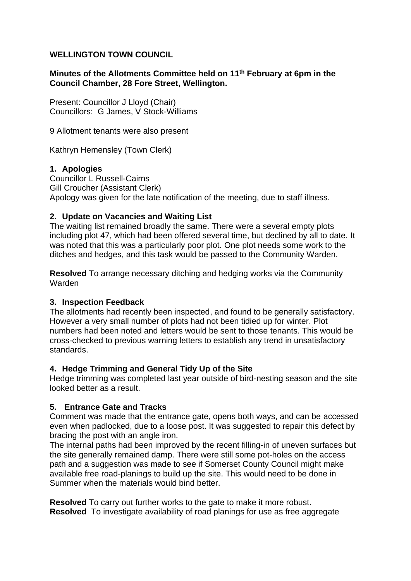## **WELLINGTON TOWN COUNCIL**

### **Minutes of the Allotments Committee held on 11th February at 6pm in the Council Chamber, 28 Fore Street, Wellington.**

Present: Councillor J Lloyd (Chair) Councillors: G James, V Stock-Williams

9 Allotment tenants were also present

Kathryn Hemensley (Town Clerk)

### **1. Apologies**

Councillor L Russell-Cairns Gill Croucher (Assistant Clerk) Apology was given for the late notification of the meeting, due to staff illness.

## **2. Update on Vacancies and Waiting List**

The waiting list remained broadly the same. There were a several empty plots including plot 47, which had been offered several time, but declined by all to date. It was noted that this was a particularly poor plot. One plot needs some work to the ditches and hedges, and this task would be passed to the Community Warden.

**Resolved** To arrange necessary ditching and hedging works via the Community Warden

### **3. Inspection Feedback**

The allotments had recently been inspected, and found to be generally satisfactory. However a very small number of plots had not been tidied up for winter. Plot numbers had been noted and letters would be sent to those tenants. This would be cross-checked to previous warning letters to establish any trend in unsatisfactory standards.

### **4. Hedge Trimming and General Tidy Up of the Site**

Hedge trimming was completed last year outside of bird-nesting season and the site looked better as a result.

# **5. Entrance Gate and Tracks**

Comment was made that the entrance gate, opens both ways, and can be accessed even when padlocked, due to a loose post. It was suggested to repair this defect by bracing the post with an angle iron.

The internal paths had been improved by the recent filling-in of uneven surfaces but the site generally remained damp. There were still some pot-holes on the access path and a suggestion was made to see if Somerset County Council might make available free road-planings to build up the site. This would need to be done in Summer when the materials would bind better.

**Resolved** To carry out further works to the gate to make it more robust. **Resolved** To investigate availability of road planings for use as free aggregate